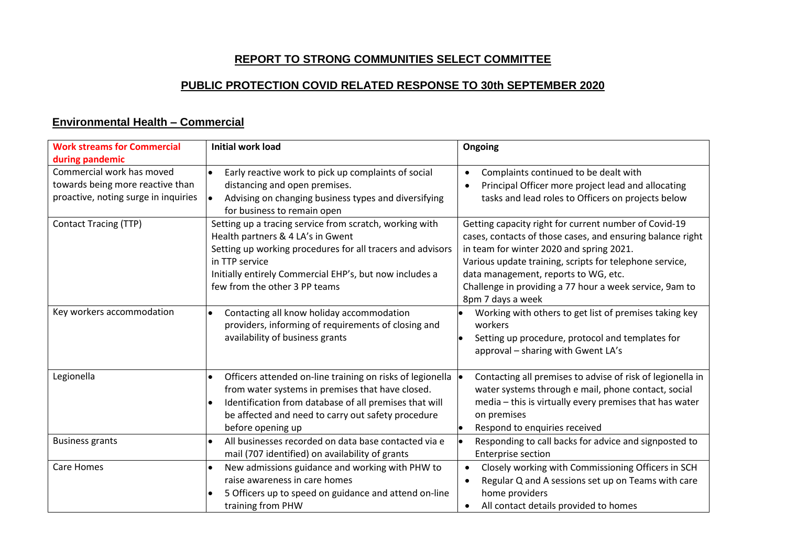# **REPORT TO STRONG COMMUNITIES SELECT COMMITTEE**

# **PUBLIC PROTECTION COVID RELATED RESPONSE TO 30th SEPTEMBER 2020**

# **Environmental Health – Commercial**

| <b>Work streams for Commercial</b><br>during pandemic                                                 | <b>Initial work load</b>                                                                                                                                                                                                                                                       | Ongoing                                                                                                                                                                                                                                                                                                                                            |
|-------------------------------------------------------------------------------------------------------|--------------------------------------------------------------------------------------------------------------------------------------------------------------------------------------------------------------------------------------------------------------------------------|----------------------------------------------------------------------------------------------------------------------------------------------------------------------------------------------------------------------------------------------------------------------------------------------------------------------------------------------------|
| Commercial work has moved<br>towards being more reactive than<br>proactive, noting surge in inquiries | Early reactive work to pick up complaints of social<br>$\bullet$<br>distancing and open premises.<br>Advising on changing business types and diversifying<br>lo<br>for business to remain open                                                                                 | Complaints continued to be dealt with<br>$\bullet$<br>Principal Officer more project lead and allocating<br>tasks and lead roles to Officers on projects below                                                                                                                                                                                     |
| <b>Contact Tracing (TTP)</b>                                                                          | Setting up a tracing service from scratch, working with<br>Health partners & 4 LA's in Gwent<br>Setting up working procedures for all tracers and advisors<br>in TTP service<br>Initially entirely Commercial EHP's, but now includes a<br>few from the other 3 PP teams       | Getting capacity right for current number of Covid-19<br>cases, contacts of those cases, and ensuring balance right<br>in team for winter 2020 and spring 2021.<br>Various update training, scripts for telephone service,<br>data management, reports to WG, etc.<br>Challenge in providing a 77 hour a week service, 9am to<br>8pm 7 days a week |
| Key workers accommodation                                                                             | Contacting all know holiday accommodation<br>$\bullet$<br>providers, informing of requirements of closing and<br>availability of business grants                                                                                                                               | Working with others to get list of premises taking key<br>workers<br>Setting up procedure, protocol and templates for<br>approval - sharing with Gwent LA's                                                                                                                                                                                        |
| Legionella                                                                                            | Officers attended on-line training on risks of legionella  <br>$\bullet$<br>from water systems in premises that have closed.<br>Identification from database of all premises that will<br>$\bullet$<br>be affected and need to carry out safety procedure<br>before opening up | Contacting all premises to advise of risk of legionella in<br>water systems through e mail, phone contact, social<br>media - this is virtually every premises that has water<br>on premises<br>Respond to enquiries received                                                                                                                       |
| <b>Business grants</b>                                                                                | All businesses recorded on data base contacted via e<br>$\bullet$<br>mail (707 identified) on availability of grants                                                                                                                                                           | Responding to call backs for advice and signposted to<br><b>Enterprise section</b>                                                                                                                                                                                                                                                                 |
| <b>Care Homes</b>                                                                                     | New admissions guidance and working with PHW to<br>$\bullet$<br>raise awareness in care homes<br>5 Officers up to speed on guidance and attend on-line<br>training from PHW                                                                                                    | Closely working with Commissioning Officers in SCH<br>Regular Q and A sessions set up on Teams with care<br>home providers<br>All contact details provided to homes                                                                                                                                                                                |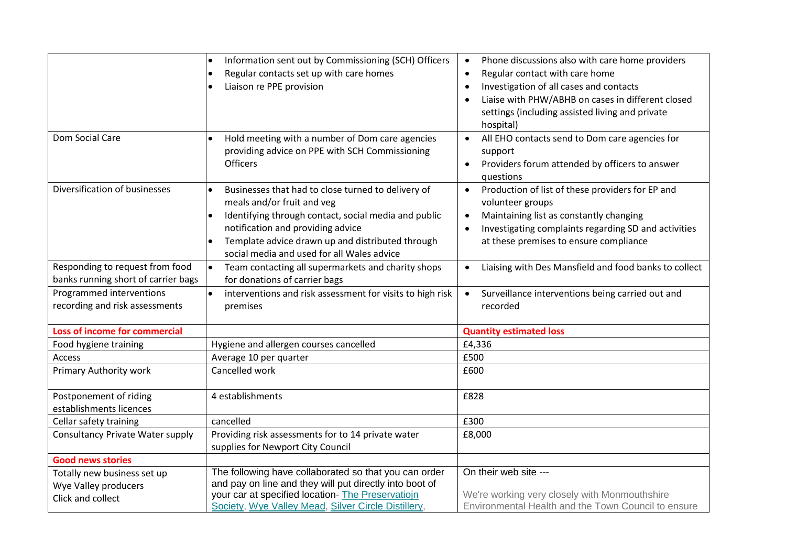|                                                                        | Information sent out by Commissioning (SCH) Officers<br>$\bullet$<br>Regular contacts set up with care homes<br>$\bullet$<br>Liaison re PPE provision<br>$\bullet$                                                                                                                                        | Phone discussions also with care home providers<br>$\bullet$<br>Regular contact with care home<br>$\bullet$<br>Investigation of all cases and contacts<br>$\bullet$<br>Liaise with PHW/ABHB on cases in different closed<br>settings (including assisted living and private<br>hospital) |  |
|------------------------------------------------------------------------|-----------------------------------------------------------------------------------------------------------------------------------------------------------------------------------------------------------------------------------------------------------------------------------------------------------|------------------------------------------------------------------------------------------------------------------------------------------------------------------------------------------------------------------------------------------------------------------------------------------|--|
| Dom Social Care                                                        | Hold meeting with a number of Dom care agencies<br>$\bullet$<br>providing advice on PPE with SCH Commissioning<br><b>Officers</b>                                                                                                                                                                         | All EHO contacts send to Dom care agencies for<br>support<br>Providers forum attended by officers to answer<br>$\bullet$<br>questions                                                                                                                                                    |  |
| Diversification of businesses                                          | Businesses that had to close turned to delivery of<br>meals and/or fruit and veg<br>Identifying through contact, social media and public<br>$\bullet$<br>notification and providing advice<br>Template advice drawn up and distributed through<br>$\bullet$<br>social media and used for all Wales advice | Production of list of these providers for EP and<br>$\bullet$<br>volunteer groups<br>Maintaining list as constantly changing<br>$\bullet$<br>Investigating complaints regarding SD and activities<br>at these premises to ensure compliance                                              |  |
| Responding to request from food<br>banks running short of carrier bags | $\bullet$<br>Team contacting all supermarkets and charity shops<br>for donations of carrier bags                                                                                                                                                                                                          | Liaising with Des Mansfield and food banks to collect                                                                                                                                                                                                                                    |  |
| Programmed interventions<br>recording and risk assessments             | interventions and risk assessment for visits to high risk<br>$\bullet$<br>premises                                                                                                                                                                                                                        | Surveillance interventions being carried out and<br>$\bullet$<br>recorded                                                                                                                                                                                                                |  |
| Loss of income for commercial                                          |                                                                                                                                                                                                                                                                                                           | <b>Quantity estimated loss</b>                                                                                                                                                                                                                                                           |  |
| Food hygiene training                                                  | Hygiene and allergen courses cancelled                                                                                                                                                                                                                                                                    | £4,336                                                                                                                                                                                                                                                                                   |  |
| Access                                                                 | Average 10 per quarter                                                                                                                                                                                                                                                                                    | £500                                                                                                                                                                                                                                                                                     |  |
| Primary Authority work                                                 | Cancelled work                                                                                                                                                                                                                                                                                            | £600                                                                                                                                                                                                                                                                                     |  |
| Postponement of riding<br>establishments licences                      | 4 establishments                                                                                                                                                                                                                                                                                          | £828                                                                                                                                                                                                                                                                                     |  |
| Cellar safety training                                                 | cancelled                                                                                                                                                                                                                                                                                                 | £300                                                                                                                                                                                                                                                                                     |  |
| <b>Consultancy Private Water supply</b>                                | Providing risk assessments for to 14 private water                                                                                                                                                                                                                                                        | £8,000                                                                                                                                                                                                                                                                                   |  |
|                                                                        | supplies for Newport City Council                                                                                                                                                                                                                                                                         |                                                                                                                                                                                                                                                                                          |  |
| <b>Good news stories</b>                                               |                                                                                                                                                                                                                                                                                                           |                                                                                                                                                                                                                                                                                          |  |
| Totally new business set up                                            | The following have collaborated so that you can order                                                                                                                                                                                                                                                     | On their web site ---                                                                                                                                                                                                                                                                    |  |
| Wye Valley producers                                                   | and pay on line and they will put directly into boot of                                                                                                                                                                                                                                                   |                                                                                                                                                                                                                                                                                          |  |
| Click and collect                                                      | your car at specified location- The Preservatiojn<br>Society, Wye Valley Mead, Silver Circle Distillery,                                                                                                                                                                                                  | We're working very closely with Monmouthshire<br>Environmental Health and the Town Council to ensure                                                                                                                                                                                     |  |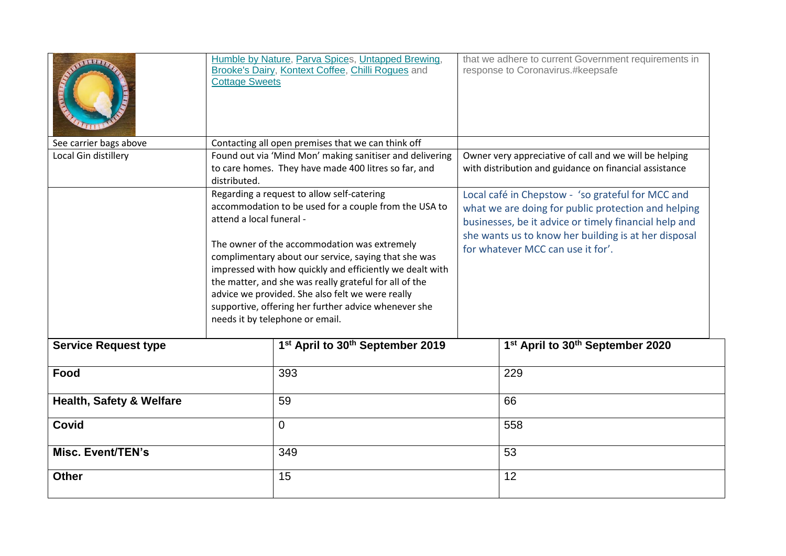| <b>THEFT,</b>                       | <b>Cottage Sweets</b>    | Humble by Nature, Parva Spices, Untapped Brewing,<br>Brooke's Dairy, Kontext Coffee, Chilli Rogues and                                                                                                                                                                                                                                                                                                                                                                           |                                                                                                                                                                                                                                                                | that we adhere to current Government requirements in<br>response to Coronavirus.#keepsafe |  |
|-------------------------------------|--------------------------|----------------------------------------------------------------------------------------------------------------------------------------------------------------------------------------------------------------------------------------------------------------------------------------------------------------------------------------------------------------------------------------------------------------------------------------------------------------------------------|----------------------------------------------------------------------------------------------------------------------------------------------------------------------------------------------------------------------------------------------------------------|-------------------------------------------------------------------------------------------|--|
| See carrier bags above              |                          | Contacting all open premises that we can think off                                                                                                                                                                                                                                                                                                                                                                                                                               |                                                                                                                                                                                                                                                                |                                                                                           |  |
| Local Gin distillery                | distributed.             | Found out via 'Mind Mon' making sanitiser and delivering<br>to care homes. They have made 400 litres so far, and                                                                                                                                                                                                                                                                                                                                                                 | Owner very appreciative of call and we will be helping<br>with distribution and guidance on financial assistance                                                                                                                                               |                                                                                           |  |
|                                     | attend a local funeral - | Regarding a request to allow self-catering<br>accommodation to be used for a couple from the USA to<br>The owner of the accommodation was extremely<br>complimentary about our service, saying that she was<br>impressed with how quickly and efficiently we dealt with<br>the matter, and she was really grateful for all of the<br>advice we provided. She also felt we were really<br>supportive, offering her further advice whenever she<br>needs it by telephone or email. | Local café in Chepstow - 'so grateful for MCC and<br>what we are doing for public protection and helping<br>businesses, be it advice or timely financial help and<br>she wants us to know her building is at her disposal<br>for whatever MCC can use it for'. |                                                                                           |  |
| <b>Service Request type</b>         |                          | 1st April to 30th September 2019                                                                                                                                                                                                                                                                                                                                                                                                                                                 |                                                                                                                                                                                                                                                                | 1st April to 30th September 2020                                                          |  |
| Food                                |                          | 393                                                                                                                                                                                                                                                                                                                                                                                                                                                                              |                                                                                                                                                                                                                                                                | 229                                                                                       |  |
| <b>Health, Safety &amp; Welfare</b> |                          | 59                                                                                                                                                                                                                                                                                                                                                                                                                                                                               |                                                                                                                                                                                                                                                                | 66                                                                                        |  |
| <b>Covid</b><br>$\overline{0}$      |                          |                                                                                                                                                                                                                                                                                                                                                                                                                                                                                  | 558                                                                                                                                                                                                                                                            |                                                                                           |  |
| Misc. Event/TEN's                   |                          | 349                                                                                                                                                                                                                                                                                                                                                                                                                                                                              |                                                                                                                                                                                                                                                                | 53                                                                                        |  |
| <b>Other</b>                        |                          | 15                                                                                                                                                                                                                                                                                                                                                                                                                                                                               |                                                                                                                                                                                                                                                                | 12                                                                                        |  |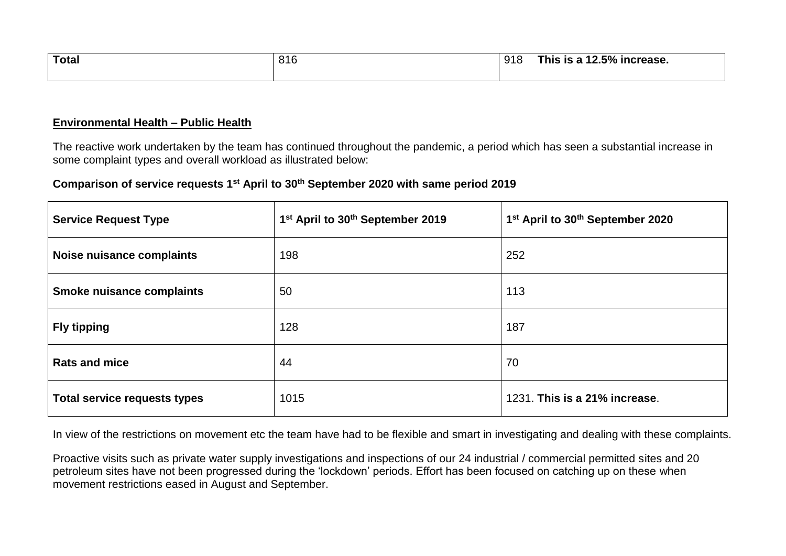| Total | 816 | 918 | $12.5\%$ increase.<br>This is a 12 |
|-------|-----|-----|------------------------------------|
|       |     |     |                                    |

### **Environmental Health – Public Health**

The reactive work undertaken by the team has continued throughout the pandemic, a period which has seen a substantial increase in some complaint types and overall workload as illustrated below:

### **Comparison of service requests 1st April to 30th September 2020 with same period 2019**

| <b>Service Request Type</b>         | 1 <sup>st</sup> April to 30 <sup>th</sup> September 2019 | 1st April to 30th September 2020 |
|-------------------------------------|----------------------------------------------------------|----------------------------------|
| Noise nuisance complaints           | 198                                                      | 252                              |
| <b>Smoke nuisance complaints</b>    | 50                                                       | 113                              |
| <b>Fly tipping</b>                  | 128                                                      | 187                              |
| <b>Rats and mice</b>                | 44                                                       | 70                               |
| <b>Total service requests types</b> | 1015                                                     | 1231. This is a 21% increase.    |

In view of the restrictions on movement etc the team have had to be flexible and smart in investigating and dealing with these complaints.

Proactive visits such as private water supply investigations and inspections of our 24 industrial / commercial permitted sites and 20 petroleum sites have not been progressed during the 'lockdown' periods. Effort has been focused on catching up on these when movement restrictions eased in August and September.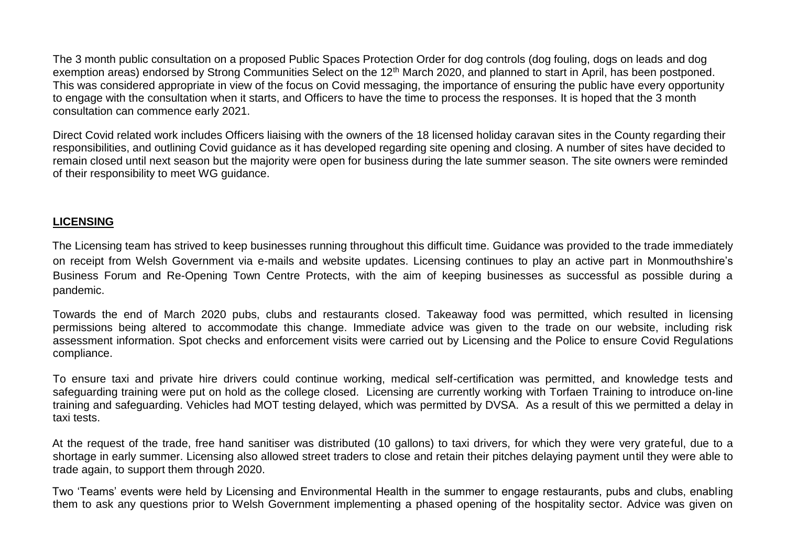The 3 month public consultation on a proposed Public Spaces Protection Order for dog controls (dog fouling, dogs on leads and dog exemption areas) endorsed by Strong Communities Select on the 12<sup>th</sup> March 2020, and planned to start in April, has been postponed. This was considered appropriate in view of the focus on Covid messaging, the importance of ensuring the public have every opportunity to engage with the consultation when it starts, and Officers to have the time to process the responses. It is hoped that the 3 month consultation can commence early 2021.

Direct Covid related work includes Officers liaising with the owners of the 18 licensed holiday caravan sites in the County regarding their responsibilities, and outlining Covid guidance as it has developed regarding site opening and closing. A number of sites have decided to remain closed until next season but the majority were open for business during the late summer season. The site owners were reminded of their responsibility to meet WG guidance.

### **LICENSING**

The Licensing team has strived to keep businesses running throughout this difficult time. Guidance was provided to the trade immediately on receipt from Welsh Government via e-mails and website updates. Licensing continues to play an active part in Monmouthshire's Business Forum and Re-Opening Town Centre Protects, with the aim of keeping businesses as successful as possible during a pandemic.

Towards the end of March 2020 pubs, clubs and restaurants closed. Takeaway food was permitted, which resulted in licensing permissions being altered to accommodate this change. Immediate advice was given to the trade on our website, including risk assessment information. Spot checks and enforcement visits were carried out by Licensing and the Police to ensure Covid Regulations compliance.

To ensure taxi and private hire drivers could continue working, medical self-certification was permitted, and knowledge tests and safeguarding training were put on hold as the college closed. Licensing are currently working with Torfaen Training to introduce on-line training and safeguarding. Vehicles had MOT testing delayed, which was permitted by DVSA. As a result of this we permitted a delay in taxi tests.

At the request of the trade, free hand sanitiser was distributed (10 gallons) to taxi drivers, for which they were very grateful, due to a shortage in early summer. Licensing also allowed street traders to close and retain their pitches delaying payment until they were able to trade again, to support them through 2020.

Two 'Teams' events were held by Licensing and Environmental Health in the summer to engage restaurants, pubs and clubs, enabling them to ask any questions prior to Welsh Government implementing a phased opening of the hospitality sector. Advice was given on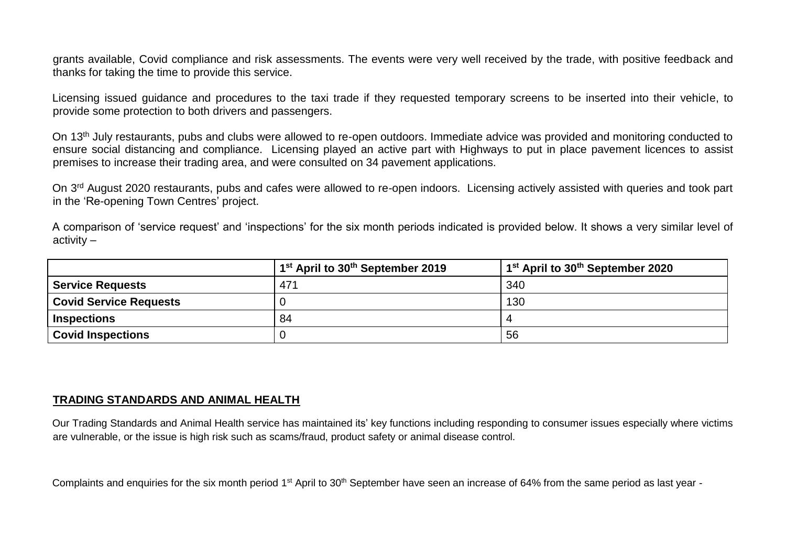grants available, Covid compliance and risk assessments. The events were very well received by the trade, with positive feedback and thanks for taking the time to provide this service.

Licensing issued guidance and procedures to the taxi trade if they requested temporary screens to be inserted into their vehicle, to provide some protection to both drivers and passengers.

On 13<sup>th</sup> July restaurants, pubs and clubs were allowed to re-open outdoors. Immediate advice was provided and monitoring conducted to ensure social distancing and compliance. Licensing played an active part with Highways to put in place pavement licences to assist premises to increase their trading area, and were consulted on 34 pavement applications.

On 3<sup>rd</sup> August 2020 restaurants, pubs and cafes were allowed to re-open indoors. Licensing actively assisted with queries and took part in the 'Re-opening Town Centres' project.

A comparison of 'service request' and 'inspections' for the six month periods indicated is provided below. It shows a very similar level of activity –

|                               | 1 <sup>st</sup> April to 30 <sup>th</sup> September 2019 | 1 <sup>st</sup> April to 30 <sup>th</sup> September 2020 |
|-------------------------------|----------------------------------------------------------|----------------------------------------------------------|
| <b>Service Requests</b>       | 471                                                      | 340                                                      |
| <b>Covid Service Requests</b> |                                                          | 130                                                      |
| <b>Inspections</b>            | 84                                                       |                                                          |
| <b>Covid Inspections</b>      |                                                          | 56                                                       |

### **TRADING STANDARDS AND ANIMAL HEALTH**

Our Trading Standards and Animal Health service has maintained its' key functions including responding to consumer issues especially where victims are vulnerable, or the issue is high risk such as scams/fraud, product safety or animal disease control.

Complaints and enquiries for the six month period 1<sup>st</sup> April to 30<sup>th</sup> September have seen an increase of 64% from the same period as last year -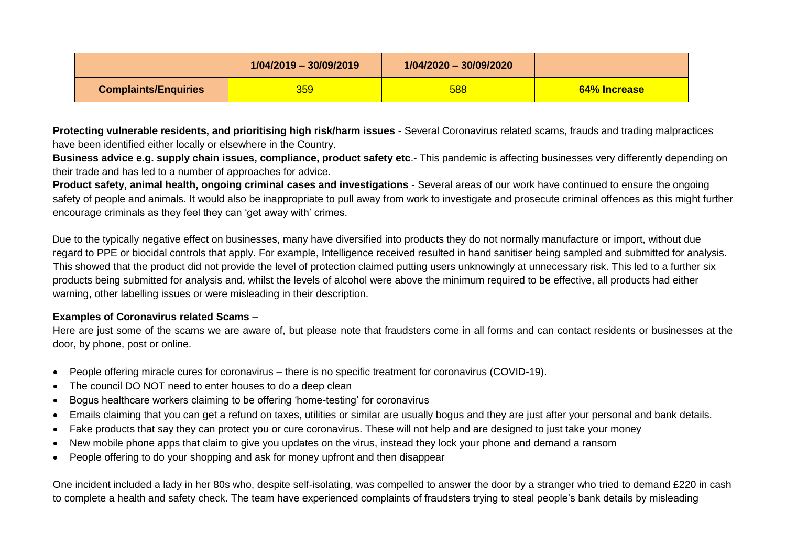|                             | 1/04/2019 - 30/09/2019 | $1/04/2020 - 30/09/2020$ |              |
|-----------------------------|------------------------|--------------------------|--------------|
| <b>Complaints/Enquiries</b> | 359                    | 588                      | 64% Increase |

**Protecting vulnerable residents, and prioritising high risk/harm issues** - Several Coronavirus related scams, frauds and trading malpractices have been identified either locally or elsewhere in the Country.

**Business advice e.g. supply chain issues, compliance, product safety etc**.- This pandemic is affecting businesses very differently depending on their trade and has led to a number of approaches for advice.

**Product safety, animal health, ongoing criminal cases and investigations** - Several areas of our work have continued to ensure the ongoing safety of people and animals. It would also be inappropriate to pull away from work to investigate and prosecute criminal offences as this might further encourage criminals as they feel they can 'get away with' crimes.

Due to the typically negative effect on businesses, many have diversified into products they do not normally manufacture or import, without due regard to PPE or biocidal controls that apply. For example, Intelligence received resulted in hand sanitiser being sampled and submitted for analysis. This showed that the product did not provide the level of protection claimed putting users unknowingly at unnecessary risk. This led to a further six products being submitted for analysis and, whilst the levels of alcohol were above the minimum required to be effective, all products had either warning, other labelling issues or were misleading in their description.

#### **Examples of Coronavirus related Scams** –

Here are just some of the scams we are aware of, but please note that fraudsters come in all forms and can contact residents or businesses at the door, by phone, post or online.

- People offering miracle cures for coronavirus there is no specific treatment for coronavirus (COVID-19).
- The council DO NOT need to enter houses to do a deep clean
- Bogus healthcare workers claiming to be offering 'home-testing' for coronavirus
- Emails claiming that you can get a refund on taxes, utilities or similar are usually bogus and they are just after your personal and bank details.
- Fake products that say they can protect you or cure coronavirus. These will not help and are designed to just take your money
- New mobile phone apps that claim to give you updates on the virus, instead they lock your phone and demand a ransom
- People offering to do your shopping and ask for money upfront and then disappear

One incident included a lady in her 80s who, despite self-isolating, was compelled to answer the door by a stranger who tried to demand £220 in cash to complete a health and safety check. The team have experienced complaints of fraudsters trying to steal people's bank details by misleading